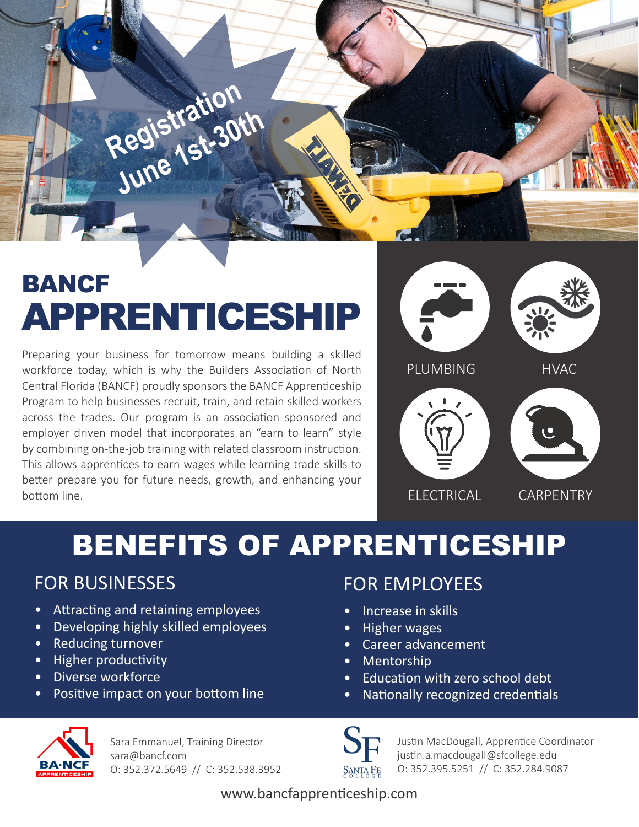

# BANCF APPRENTICESHIP

Preparing your business for tomorrow means building a skilled workforce today, which is why the Builders Association of North Central Florida (BANCF) proudly sponsors the BANCF Apprenticeship Program to help businesses recruit, train, and retain skilled workers across the trades. Our program is an association sponsored and employer driven model that incorporates an "earn to learn" style by combining on-the-job training with related classroom instruction. This allows apprentices to earn wages while learning trade skills to better prepare you for future needs, growth, and enhancing your bottom line.



## BENEFITS OF APPRENTICESHIP

### FOR BUSINESSES

- Attracting and retaining employees
- Developing highly skilled employees
- Reducing turnover
- Higher productivity
- Diverse workforce
- Positive impact on your bottom line

### FOR EMPLOYEES

- Increase in skills
- Higher wages
- Career advancement
- Mentorship
- Education with zero school debt
- Nationally recognized credentials



Sara Emmanuel, Training Director sara@bancf.com O: 352.372.5649 // C: 352.538.3952



Justin MacDougall, Apprentice Coordinator justin.a.macdougall@sfcollege.edu O: 352.395.5251 // C: 352.284.9087

www.bancfapprenticeship.com